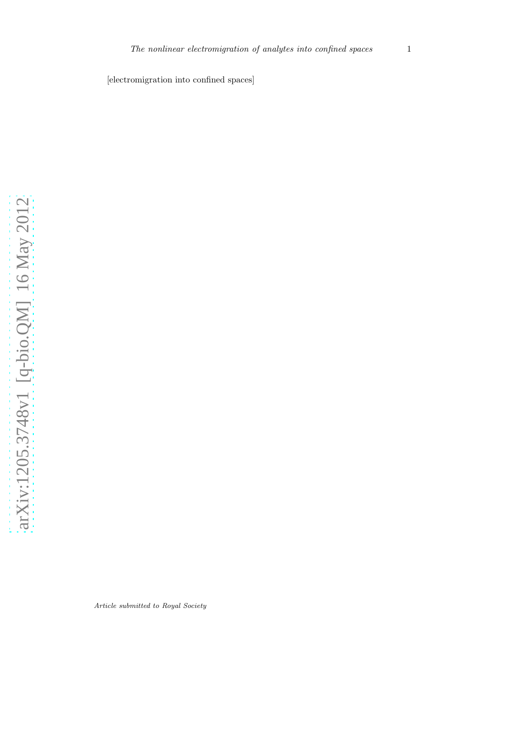[electromigration into confined spaces]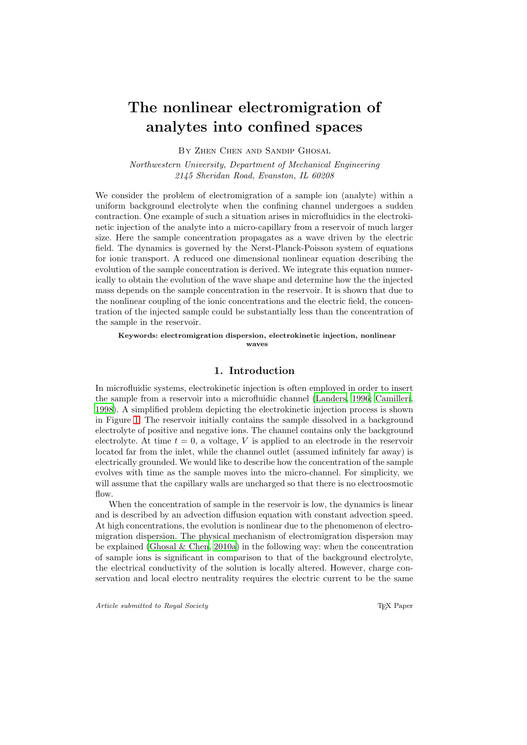# The nonlinear electromigration of analytes into confined spaces

By Zhen Chen and Sandip Ghosal

*Northwestern University, Department of Mechanical Engineering 2145 Sheridan Road, Evanston, IL 60208*

We consider the problem of electromigration of a sample ion (analyte) within a uniform background electrolyte when the confining channel undergoes a sudden contraction. One example of such a situation arises in microfluidics in the electrokinetic injection of the analyte into a micro-capillary from a reservoir of much larger size. Here the sample concentration propagates as a wave driven by the electric field. The dynamics is governed by the Nerst-Planck-Poisson system of equations for ionic transport. A reduced one dimensional nonlinear equation describing the evolution of the sample concentration is derived. We integrate this equation numerically to obtain the evolution of the wave shape and determine how the the injected mass depends on the sample concentration in the reservoir. It is shown that due to the nonlinear coupling of the ionic concentrations and the electric field, the concentration of the injected sample could be substantially less than the concentration of the sample in the reservoir.

Keywords: electromigration dispersion, electrokinetic injection, nonlinear waves

#### 1. Introduction

In microfluidic systems, electrokinetic injection is often employed in order to insert the sample from a reservoir into a microfluidic channel [\(Landers](#page-13-0), [1996;](#page-13-0) [Camilleri,](#page-12-0) [1998\)](#page-12-0). A simplified problem depicting the electrokinetic injection process is shown in Figure [1.](#page-3-0) The reservoir initially contains the sample dissolved in a background electrolyte of positive and negative ions. The channel contains only the background electrolyte. At time  $t = 0$ , a voltage, V is applied to an electrode in the reservoir located far from the inlet, while the channel outlet (assumed infinitely far away) is electrically grounded. We would like to describe how the concentration of the sample evolves with time as the sample moves into the micro-channel. For simplicity, we will assume that the capillary walls are uncharged so that there is no electroosmotic flow.

When the concentration of sample in the reservoir is low, the dynamics is linear and is described by an advection diffusion equation with constant advection speed. At high concentrations, the evolution is nonlinear due to the phenomenon of electromigration dispersion. The physical mechanism of electromigration dispersion may be explained [\(Ghosal & Chen, 2010a\)](#page-12-1) in the following way: when the concentration of sample ions is significant in comparison to that of the background electrolyte, the electrical conductivity of the solution is locally altered. However, charge conservation and local electro neutrality requires the electric current to be the same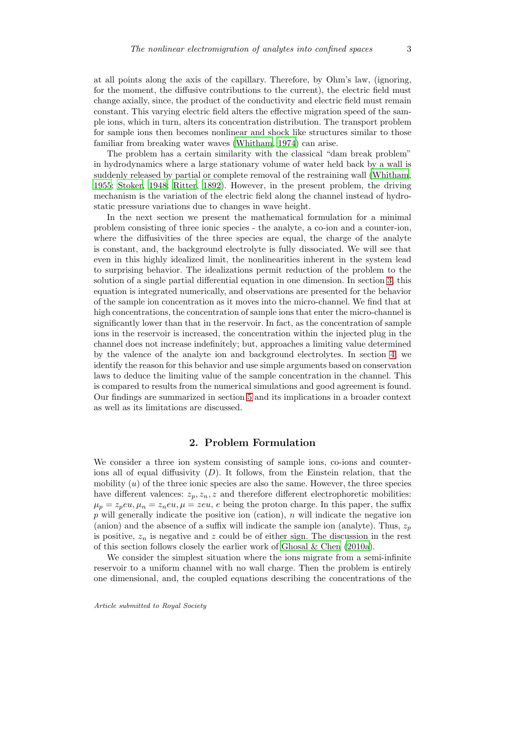at all points along the axis of the capillary. Therefore, by Ohm's law, (ignoring, for the moment, the diffusive contributions to the current), the electric field must change axially, since, the product of the conductivity and electric field must remain constant. This varying electric field alters the effective migration speed of the sample ions, which in turn, alters its concentration distribution. The transport problem for sample ions then becomes nonlinear and shock like structures similar to those familiar from breaking water waves [\(Whitham, 1974\)](#page-13-1) can arise.

The problem has a certain similarity with the classical "dam break problem" in hydrodynamics where a large stationary volume of water held back by a wall is suddenly released by partial or complete removal of the restraining wall [\(Whitham,](#page-13-2) [1955;](#page-13-2) [Stoker, 1948](#page-13-3); [Ritter, 1892](#page-13-4)). However, in the present problem, the driving mechanism is the variation of the electric field along the channel instead of hydrostatic pressure variations due to changes in wave height.

In the next section we present the mathematical formulation for a minimal problem consisting of three ionic species - the analyte, a co-ion and a counter-ion, where the diffusivities of the three species are equal, the charge of the analyte is constant, and, the background electrolyte is fully dissociated. We will see that even in this highly idealized limit, the nonlinearities inherent in the system lead to surprising behavior. The idealizations permit reduction of the problem to the solution of a single partial differential equation in one dimension. In section [3,](#page-5-0) this equation is integrated numerically, and observations are presented for the behavior of the sample ion concentration as it moves into the micro-channel. We find that at high concentrations, the concentration of sample ions that enter the micro-channel is significantly lower than that in the reservoir. In fact, as the concentration of sample ions in the reservoir is increased, the concentration within the injected plug in the channel does not increase indefinitely; but, approaches a limiting value determined by the valence of the analyte ion and background electrolytes. In section [4,](#page-7-0) we identify the reason for this behavior and use simple arguments based on conservation laws to deduce the limiting value of the sample concentration in the channel. This is compared to results from the numerical simulations and good agreement is found. Our findings are summarized in section [5](#page-11-0) and its implications in a broader context as well as its limitations are discussed.

#### 2. Problem Formulation

We consider a three ion system consisting of sample ions, co-ions and counterions all of equal diffusivity  $(D)$ . It follows, from the Einstein relation, that the mobility  $(u)$  of the three ionic species are also the same. However, the three species have different valences:  $z_p, z_n, z$  and therefore different electrophoretic mobilities:  $\mu_p = z_p e u, \mu_n = z_n e u, \mu = z e u, e$  being the proton charge. In this paper, the suffix  $p$  will generally indicate the positive ion (cation),  $n$  will indicate the negative ion (anion) and the absence of a suffix will indicate the sample ion (analyte). Thus,  $z_p$ is positive,  $z_n$  is negative and z could be of either sign. The discussion in the rest of this section follows closely the earlier work of [Ghosal & Chen \(2010a](#page-12-1)).

We consider the simplest situation where the ions migrate from a semi-infinite reservoir to a uniform channel with no wall charge. Then the problem is entirely one dimensional, and, the coupled equations describing the concentrations of the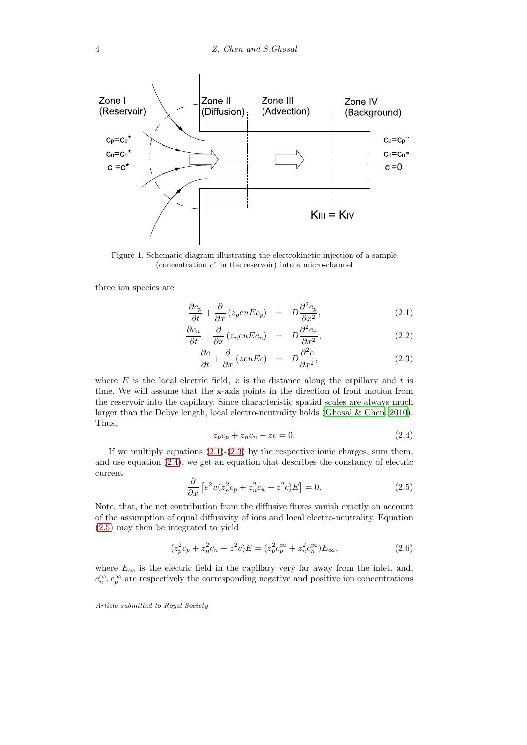

<span id="page-3-0"></span>Figure 1. Schematic diagram illustrating the electrokinetic injection of a sample (concentration  $c^*$  in the reservoir) into a micro-channel

three ion species are

<span id="page-3-1"></span>
$$
\frac{\partial c_p}{\partial t} + \frac{\partial}{\partial x} (z_p e u E c_p) = D \frac{\partial^2 c_p}{\partial x^2}, \qquad (2.1)
$$

$$
\frac{\partial c_n}{\partial t} + \frac{\partial}{\partial x} (z_n e u E c_n) = D \frac{\partial^2 c_n}{\partial x^2}, \qquad (2.2)
$$

$$
\frac{\partial c}{\partial t} + \frac{\partial}{\partial x} (zeuEc) = D \frac{\partial^2 c}{\partial x^2}, \tag{2.3}
$$

where  $E$  is the local electric field,  $x$  is the distance along the capillary and  $t$  is time. We will assume that the x-axis points in the direction of front motion from the reservoir into the capillary. Since characteristic spatial scales are always much larger than the Debye length, local electro-neutrality holds (Ghosal  $\&$  Chen, [2010\)](#page-12-2). Thus,

<span id="page-3-2"></span>
$$
z_p c_p + z_n c_n + z c = 0.
$$
 (2.4)

If we multiply equations  $(2.1)-(2.3)$  $(2.1)-(2.3)$  by the respective ionic charges, sum them, and use equation [\(2.4\)](#page-3-2), we get an equation that describes the constancy of electric current

<span id="page-3-3"></span>
$$
\frac{\partial}{\partial x}\left[e^2u(z_p^2c_p+z_n^2c_n+z^2c)E\right]=0.\tag{2.5}
$$

Note, that, the net contribution from the diffusive fluxes vanish exactly on account of the assumption of equal diffusivity of ions and local electro-neutrality. Equation [\(2.5\)](#page-3-3) may then be integrated to yield

<span id="page-3-4"></span>
$$
(z_p^2 c_p + z_n^2 c_n + z^2 c) E = (z_p^2 c_p^{\infty} + z_n^2 c_n^{\infty}) E_{\infty},
$$
\n(2.6)

where  $E_{\infty}$  is the electric field in the capillary very far away from the inlet, and,  $c_n^{\infty}, c_p^{\infty}$  are respectively the corresponding negative and positive ion concentrations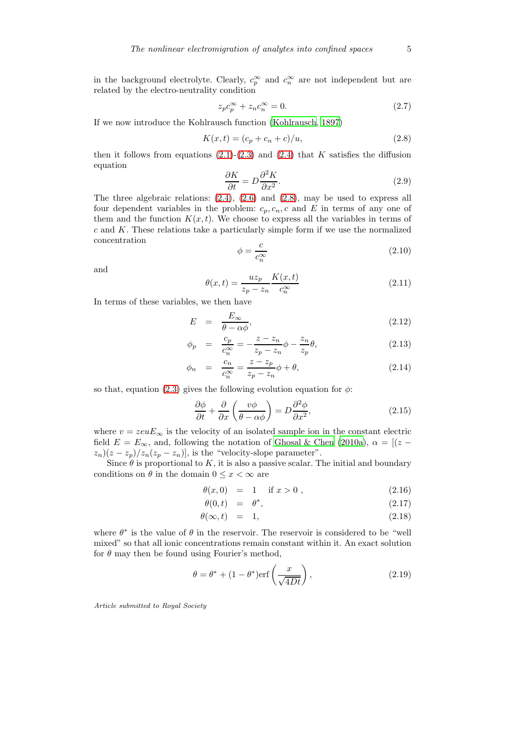in the background electrolyte. Clearly,  $c_p^{\infty}$  and  $c_n^{\infty}$  are not independent but are related by the electro-neutrality condition

$$
z_p c_p^{\infty} + z_n c_n^{\infty} = 0.
$$
\n(2.7)

If we now introduce the Kohlrausch function [\(Kohlrausch, 1897](#page-13-5))

<span id="page-4-0"></span>
$$
K(x,t) = (c_p + c_n + c)/u,
$$
\n(2.8)

then it follows from equations  $(2.1)-(2.3)$  $(2.1)-(2.3)$  and  $(2.4)$  that K satisfies the diffusion equation

$$
\frac{\partial K}{\partial t} = D \frac{\partial^2 K}{\partial x^2}.
$$
\n(2.9)

The three algebraic relations: [\(2.4\)](#page-3-2), [\(2.6\)](#page-3-4) and [\(2.8\)](#page-4-0), may be used to express all four dependent variables in the problem:  $c_p, c_n, c$  and E in terms of any one of them and the function  $K(x, t)$ . We choose to express all the variables in terms of  $c$  and  $K$ . These relations take a particularly simple form if we use the normalized concentration

$$
\phi = \frac{c}{c_n^{\infty}}\tag{2.10}
$$

and

$$
\theta(x,t) = \frac{uz_p}{z_p - z_n} \frac{K(x,t)}{c_n^{\infty}} \tag{2.11}
$$

In terms of these variables, we then have

<span id="page-4-3"></span>
$$
E = \frac{E_{\infty}}{\theta - \alpha \phi}, \tag{2.12}
$$

$$
\phi_p = \frac{c_p}{c_n^{\infty}} = -\frac{z - z_n}{z_p - z_n} \phi - \frac{z_n}{z_p} \theta,
$$
\n(2.13)

$$
\phi_n = \frac{c_n}{c_n^{\infty}} = \frac{z - z_p}{z_p - z_n} \phi + \theta,
$$
\n(2.14)

so that, equation [\(2.3\)](#page-3-1) gives the following evolution equation for  $\phi$ :

<span id="page-4-1"></span>
$$
\frac{\partial \phi}{\partial t} + \frac{\partial}{\partial x} \left( \frac{v\phi}{\theta - \alpha \phi} \right) = D \frac{\partial^2 \phi}{\partial x^2},\tag{2.15}
$$

where  $v = zeuE_{\infty}$  is the velocity of an isolated sample ion in the constant electric field  $E = E_{\infty}$ , and, following the notation of [Ghosal & Chen \(2010a\)](#page-12-1),  $\alpha = [(z$  $z_n(z-z_p)/z_n(z_p-z_n)$ , is the "velocity-slope parameter".

Since  $\theta$  is proportional to K, it is also a passive scalar. The initial and boundary conditions on  $\theta$  in the domain  $0 \leq x < \infty$  are

$$
\theta(x,0) = 1 \quad \text{if } x > 0 , \tag{2.16}
$$

$$
\theta(0,t) = \theta^*, \tag{2.17}
$$

$$
\theta(\infty, t) = 1, \tag{2.18}
$$

where  $\theta^*$  is the value of  $\theta$  in the reservoir. The reservoir is considered to be "well mixed" so that all ionic concentrations remain constant within it. An exact solution for  $\theta$  may then be found using Fourier's method,

<span id="page-4-2"></span>
$$
\theta = \theta^* + (1 - \theta^*) \text{erf}\left(\frac{x}{\sqrt{4Dt}}\right),\tag{2.19}
$$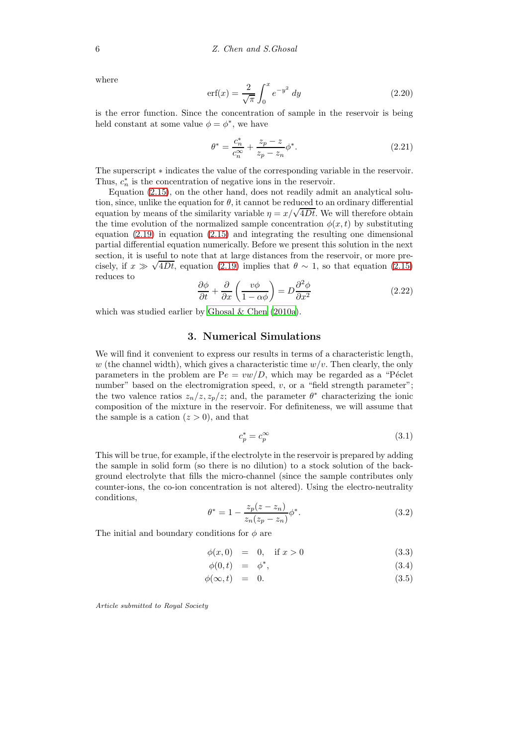where

$$
\text{erf}(x) = \frac{2}{\sqrt{\pi}} \int_0^x e^{-y^2} dy \tag{2.20}
$$

is the error function. Since the concentration of sample in the reservoir is being held constant at some value  $\phi = \phi^*$ , we have

$$
\theta^* = \frac{c_n^*}{c_n^{\infty}} + \frac{z_p - z}{z_p - z_n} \phi^*.
$$
\n(2.21)

The superscript  $*$  indicates the value of the corresponding variable in the reservoir. Thus,  $c_n^*$  is the concentration of negative ions in the reservoir.

Equation [\(2.15\)](#page-4-1), on the other hand, does not readily admit an analytical solution, since, unlike the equation for  $\theta$ , it cannot be reduced to an ordinary differential equation by means of the similarity variable  $\eta = x/\sqrt{4Dt}$ . We will therefore obtain the time evolution of the normalized sample concentration  $\phi(x, t)$  by substituting equation [\(2.19\)](#page-4-2) in equation [\(2.15\)](#page-4-1) and integrating the resulting one dimensional partial differential equation numerically. Before we present this solution in the next section, it is useful to note that at large distances from the reservoir, or more precisely, if  $x \gg \sqrt{4Dt}$ , equation [\(2.19\)](#page-4-2) implies that  $\theta \sim 1$ , so that equation [\(2.15\)](#page-4-1) reduces to

<span id="page-5-1"></span>
$$
\frac{\partial \phi}{\partial t} + \frac{\partial}{\partial x} \left( \frac{v\phi}{1 - \alpha \phi} \right) = D \frac{\partial^2 \phi}{\partial x^2}
$$
 (2.22)

<span id="page-5-0"></span>which was studied earlier by [Ghosal & Chen \(2010a\)](#page-12-1).

#### 3. Numerical Simulations

We will find it convenient to express our results in terms of a characteristic length, w (the channel width), which gives a characteristic time  $w/v$ . Then clearly, the only parameters in the problem are  $Pe = vw/D$ , which may be regarded as a "Péclet number" based on the electromigration speed,  $v$ , or a "field strength parameter"; the two valence ratios  $z_n/z, z_p/z$ ; and, the parameter  $\theta^*$  characterizing the ionic composition of the mixture in the reservoir. For definiteness, we will assume that the sample is a cation  $(z > 0)$ , and that

$$
c_p^* = c_p^\infty \tag{3.1}
$$

This will be true, for example, if the electrolyte in the reservoir is prepared by adding the sample in solid form (so there is no dilution) to a stock solution of the background electrolyte that fills the micro-channel (since the sample contributes only counter-ions, the co-ion concentration is not altered). Using the electro-neutrality conditions,

$$
\theta^* = 1 - \frac{z_p(z - z_n)}{z_n(z_p - z_n)} \phi^*.
$$
\n(3.2)

The initial and boundary conditions for  $\phi$  are

$$
\phi(x,0) = 0, \quad \text{if } x > 0 \tag{3.3}
$$

$$
\phi(0,t) = \phi^*, \tag{3.4}
$$

$$
\phi(\infty, t) = 0. \tag{3.5}
$$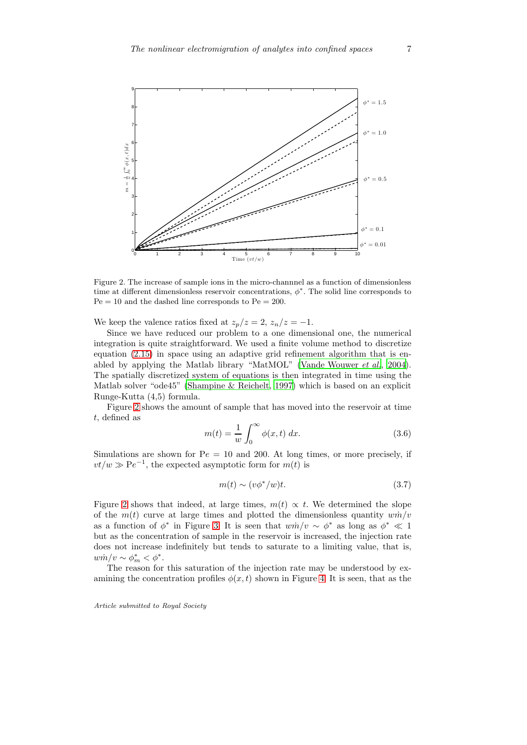

<span id="page-6-0"></span>Figure 2. The increase of sample ions in the micro-channnel as a function of dimensionless time at different dimensionless reservoir concentrations,  $\phi^*$ . The solid line corresponds to  $Pe = 10$  and the dashed line corresponds to  $Pe = 200$ .

We keep the valence ratios fixed at  $z_p/z = 2$ ,  $z_n/z = -1$ .

Since we have reduced our problem to a one dimensional one, the numerical integration is quite straightforward. We used a finite volume method to discretize equation [\(2.15\)](#page-4-1) in space using an adaptive grid refinement algorithm that is enabled by applying the Matlab library "MatMOL" [\(Vande Wouwer](#page-13-6) *et al.*, [2004\)](#page-13-6). The spatially discretized system of equations is then integrated in time using the Matlab solver "ode45" [\(Shampine & Reichelt, 1997](#page-13-7)) which is based on an explicit Runge-Kutta (4,5) formula.

Figure [2](#page-6-0) shows the amount of sample that has moved into the reservoir at time t, defined as

$$
m(t) = \frac{1}{w} \int_0^\infty \phi(x, t) dx.
$$
 (3.6)

Simulations are shown for  $Pe = 10$  and 200. At long times, or more precisely, if  $vt/w \gg Pe^{-1}$ , the expected asymptotic form for  $m(t)$  is

<span id="page-6-1"></span>
$$
m(t) \sim (v\phi^*/w)t. \tag{3.7}
$$

Figure [2](#page-6-0) shows that indeed, at large times,  $m(t) \propto t$ . We determined the slope of the  $m(t)$  curve at large times and plotted the dimensionless quantity  $w\dot{m}/v$ as a function of  $\phi^*$  in Figure [3.](#page-7-1) It is seen that  $wm/v \sim \phi^*$  as long as  $\phi^* \ll 1$ but as the concentration of sample in the reservoir is increased, the injection rate does not increase indefinitely but tends to saturate to a limiting value, that is,  $w\dot{m}/v \sim \phi_m^* < \phi^*.$ 

The reason for this saturation of the injection rate may be understood by examining the concentration profiles  $\phi(x, t)$  shown in Figure [4.](#page-8-0) It is seen, that as the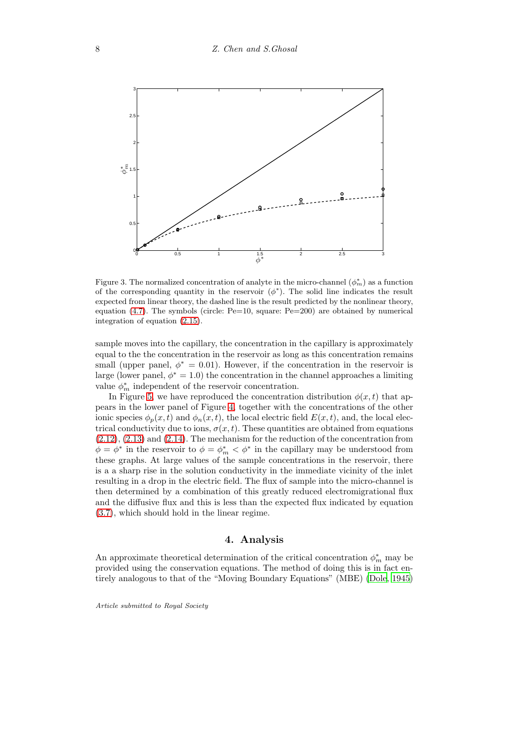

<span id="page-7-1"></span>Figure 3. The normalized concentration of analyte in the micro-channel  $(\phi_m^*)$  as a function of the corresponding quantity in the reservoir  $(\phi^*)$ . The solid line indicates the result expected from linear theory, the dashed line is the result predicted by the nonlinear theory, equation [\(4.7\)](#page-9-0). The symbols (circle:  $Pe=10$ , square:  $Pe=200$ ) are obtained by numerical integration of equation [\(2.15\)](#page-4-1).

sample moves into the capillary, the concentration in the capillary is approximately equal to the the concentration in the reservoir as long as this concentration remains small (upper panel,  $\phi^* = 0.01$ ). However, if the concentration in the reservoir is large (lower panel,  $\phi^* = 1.0$ ) the concentration in the channel approaches a limiting value  $\phi_m^*$  independent of the reservoir concentration.

In Figure [5,](#page-9-1) we have reproduced the concentration distribution  $\phi(x, t)$  that appears in the lower panel of Figure [4,](#page-8-0) together with the concentrations of the other ionic species  $\phi_p(x, t)$  and  $\phi_n(x, t)$ , the local electric field  $E(x, t)$ , and, the local electrical conductivity due to ions,  $\sigma(x, t)$ . These quantities are obtained from equations [\(2.12\)](#page-4-3), [\(2.13\)](#page-4-3) and [\(2.14\)](#page-4-3). The mechanism for the reduction of the concentration from  $\phi = \phi^*$  in the reservoir to  $\phi = \phi_m^* < \phi^*$  in the capillary may be understood from these graphs. At large values of the sample concentrations in the reservoir, there is a a sharp rise in the solution conductivity in the immediate vicinity of the inlet resulting in a drop in the electric field. The flux of sample into the micro-channel is then determined by a combination of this greatly reduced electromigrational flux and the diffusive flux and this is less than the expected flux indicated by equation [\(3.7\)](#page-6-1), which should hold in the linear regime.

## 4. Analysis

<span id="page-7-0"></span>An approximate theoretical determination of the critical concentration  $\phi_m^*$  may be provided using the conservation equations. The method of doing this is in fact entirely analogous to that of the "Moving Boundary Equations" (MBE) [\(Dole, 1945\)](#page-12-3)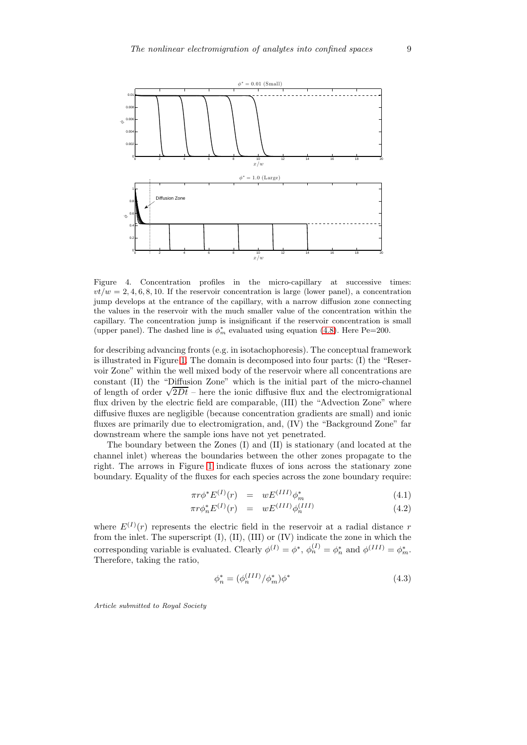

<span id="page-8-0"></span>Figure 4. Concentration profiles in the micro-capillary at successive times:  $vt/w = 2, 4, 6, 8, 10$ . If the reservoir concentration is large (lower panel), a concentration jump develops at the entrance of the capillary, with a narrow diffusion zone connecting the values in the reservoir with the much smaller value of the concentration within the capillary. The concentration jump is insignificant if the reservoir concentration is small (upper panel). The dashed line is  $\phi_m^*$  evaluated using equation [\(4.8\)](#page-10-0). Here Pe=200.

for describing advancing fronts (e.g. in isotachophoresis). The conceptual framework is illustrated in Figure [1.](#page-3-0) The domain is decomposed into four parts: (I) the "Reservoir Zone" within the well mixed body of the reservoir where all concentrations are constant (II) the "Diffusion Zone" which is the initial part of the micro-channel of length of order  $\sqrt{2Dt}$  – here the ionic diffusive flux and the electromigrational flux driven by the electric field are comparable, (III) the "Advection Zone" where diffusive fluxes are negligible (because concentration gradients are small) and ionic fluxes are primarily due to electromigration, and, (IV) the "Background Zone" far downstream where the sample ions have not yet penetrated.

The boundary between the Zones (I) and (II) is stationary (and located at the channel inlet) whereas the boundaries between the other zones propagate to the right. The arrows in Figure [1](#page-3-0) indicate fluxes of ions across the stationary zone boundary. Equality of the fluxes for each species across the zone boundary require:

$$
\pi r \phi^* E^{(I)}(r) = w E^{(III)} \phi_m^* \tag{4.1}
$$

$$
\pi r \phi_n^* E^{(I)}(r) = w E^{(III)} \phi_n^{(III)} \tag{4.2}
$$

where  $E^{(I)}(r)$  represents the electric field in the reservoir at a radial distance r from the inlet. The superscript (I), (II), (III) or (IV) indicate the zone in which the corresponding variable is evaluated. Clearly  $\phi^{(I)} = \phi^*, \phi^{(I)}_n = \phi^*_n$  and  $\phi^{(III)} = \phi^*_m$ . Therefore, taking the ratio,

<span id="page-8-1"></span>
$$
\phi_n^* = (\phi_n^{(III)} / \phi_m^*) \phi^* \tag{4.3}
$$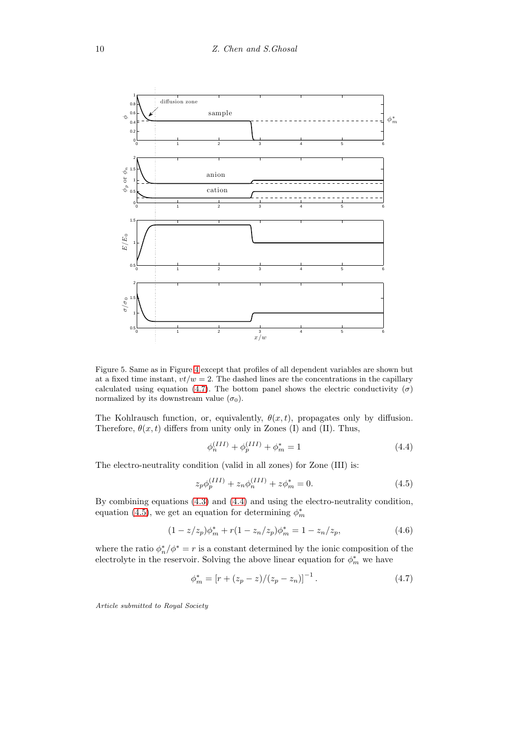

<span id="page-9-1"></span>Figure 5. Same as in Figure [4](#page-8-0) except that profiles of all dependent variables are shown but at a fixed time instant,  $vt/w = 2$ . The dashed lines are the concentrations in the capillary calculated using equation [\(4.7\)](#page-9-0). The bottom panel shows the electric conductivity  $(\sigma)$ normalized by its downstream value  $(\sigma_0)$ .

The Kohlrausch function, or, equivalently,  $\theta(x, t)$ , propagates only by diffusion. Therefore,  $\theta(x, t)$  differs from unity only in Zones (I) and (II). Thus,

<span id="page-9-2"></span>
$$
\phi_n^{(III)} + \phi_p^{(III)} + \phi_m^* = 1 \tag{4.4}
$$

The electro-neutrality condition (valid in all zones) for Zone (III) is:

<span id="page-9-3"></span>
$$
z_p \phi_p^{(III)} + z_n \phi_n^{(III)} + z \phi_m^* = 0.
$$
\n(4.5)

By combining equations [\(4.3\)](#page-8-1) and [\(4.4\)](#page-9-2) and using the electro-neutrality condition, equation [\(4.5\)](#page-9-3), we get an equation for determining  $\phi_m^*$ 

$$
(1 - z/z_p)\phi_m^* + r(1 - z_n/z_p)\phi_m^* = 1 - z_n/z_p,
$$
\n(4.6)

where the ratio  $\phi_n^*/\phi^* = r$  is a constant determined by the ionic composition of the electrolyte in the reservoir. Solving the above linear equation for  $\phi_m^*$  we have

<span id="page-9-0"></span>
$$
\phi_m^* = \left[ r + (z_p - z)/(z_p - z_n) \right]^{-1}.
$$
\n(4.7)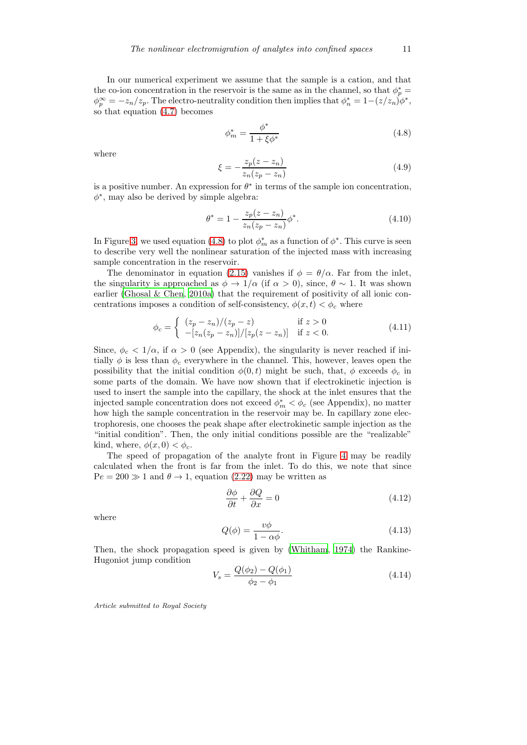In our numerical experiment we assume that the sample is a cation, and that the co-ion concentration in the reservoir is the same as in the channel, so that  $\phi_p^* =$  $\phi_p^{\infty} = -z_n/z_p$ . The electro-neutrality condition then implies that  $\phi_n^* = 1-(z/z_n)\phi^*$ , so that equation [\(4.7\)](#page-9-0) becomes

<span id="page-10-0"></span>
$$
\phi_m^* = \frac{\phi^*}{1 + \xi \phi^*}
$$
\n(4.8)

where

$$
\xi = -\frac{z_p(z - z_n)}{z_n(z_p - z_n)}
$$
\n(4.9)

is a positive number. An expression for  $\theta^*$  in terms of the sample ion concentration,  $\phi^*$ , may also be derived by simple algebra:

$$
\theta^* = 1 - \frac{z_p(z - z_n)}{z_n(z_p - z_n)} \phi^*.
$$
\n(4.10)

In Figure [3,](#page-7-1) we used equation [\(4.8\)](#page-10-0) to plot  $\phi_m^*$  as a function of  $\phi^*$ . This curve is seen to describe very well the nonlinear saturation of the injected mass with increasing sample concentration in the reservoir.

The denominator in equation [\(2.15\)](#page-4-1) vanishes if  $\phi = \theta/\alpha$ . Far from the inlet, the singularity is approached as  $\phi \to 1/\alpha$  (if  $\alpha > 0$ ), since,  $\theta \sim 1$ . It was shown earlier [\(Ghosal & Chen](#page-12-1), [2010a\)](#page-12-1) that the requirement of positivity of all ionic concentrations imposes a condition of self-consistency,  $\phi(x, t) < \phi_c$  where

$$
\phi_c = \begin{cases}\n(z_p - z_n)/(z_p - z) & \text{if } z > 0 \\
-[z_n(z_p - z_n)]/[z_p(z - z_n)] & \text{if } z < 0.\n\end{cases}
$$
\n(4.11)

Since,  $\phi_c < 1/\alpha$ , if  $\alpha > 0$  (see Appendix), the singularity is never reached if initially  $\phi$  is less than  $\phi_c$  everywhere in the channel. This, however, leaves open the possibility that the initial condition  $\phi(0, t)$  might be such, that,  $\phi$  exceeds  $\phi_c$  in some parts of the domain. We have now shown that if electrokinetic injection is used to insert the sample into the capillary, the shock at the inlet ensures that the injected sample concentration does not exceed  $\phi_m^* < \phi_c$  (see Appendix), no matter how high the sample concentration in the reservoir may be. In capillary zone electrophoresis, one chooses the peak shape after electrokinetic sample injection as the "initial condition". Then, the only initial conditions possible are the "realizable" kind, where,  $\phi(x, 0) < \phi_c$ .

The speed of propagation of the analyte front in Figure [4](#page-8-0) may be readily calculated when the front is far from the inlet. To do this, we note that since  $Pe = 200 \gg 1$  and  $\theta \rightarrow 1$ , equation [\(2.22\)](#page-5-1) may be written as

$$
\frac{\partial \phi}{\partial t} + \frac{\partial Q}{\partial x} = 0 \tag{4.12}
$$

where

$$
Q(\phi) = \frac{v\phi}{1 - \alpha\phi}.\tag{4.13}
$$

Then, the shock propagation speed is given by [\(Whitham](#page-13-1), [1974\)](#page-13-1) the Rankine-Hugoniot jump condition

$$
V_s = \frac{Q(\phi_2) - Q(\phi_1)}{\phi_2 - \phi_1} \tag{4.14}
$$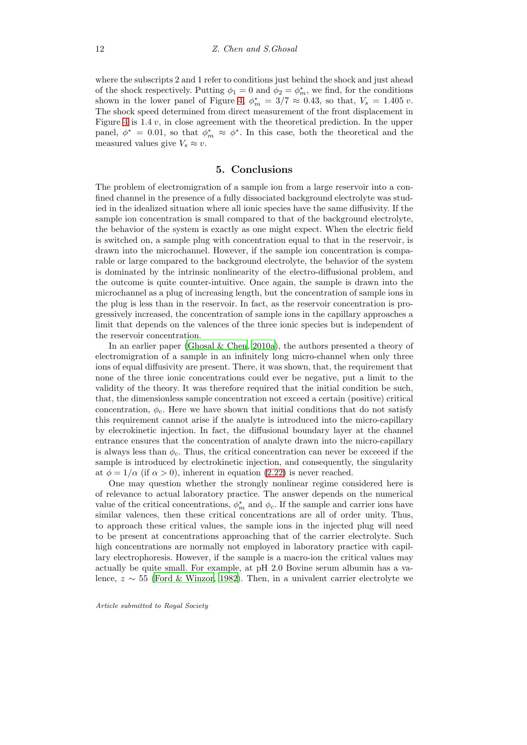where the subscripts 2 and 1 refer to conditions just behind the shock and just ahead of the shock respectively. Putting  $\phi_1 = 0$  and  $\phi_2 = \phi_m^*$ , we find, for the conditions shown in the lower panel of Figure [4,](#page-8-0)  $\phi_m^* = 3/7 \approx 0.43$ , so that,  $V_s = 1.405 v$ . The shock speed determined from direct measurement of the front displacement in Figure [4](#page-8-0) is  $1.4 v$ , in close agreement with the theoretical prediction. In the upper panel,  $\phi^* = 0.01$ , so that  $\phi^*_{m} \approx \phi^*$ . In this case, both the theoretical and the measured values give  $V_s \approx v$ .

## 5. Conclusions

<span id="page-11-0"></span>The problem of electromigration of a sample ion from a large reservoir into a confined channel in the presence of a fully dissociated background electrolyte was studied in the idealized situation where all ionic species have the same diffusivity. If the sample ion concentration is small compared to that of the background electrolyte, the behavior of the system is exactly as one might expect. When the electric field is switched on, a sample plug with concentration equal to that in the reservoir, is drawn into the microchannel. However, if the sample ion concentration is comparable or large compared to the background electrolyte, the behavior of the system is dominated by the intrinsic nonlinearity of the electro-diffusional problem, and the outcome is quite counter-intuitive. Once again, the sample is drawn into the microchannel as a plug of increasing length, but the concentration of sample ions in the plug is less than in the reservoir. In fact, as the reservoir concentration is progressively increased, the concentration of sample ions in the capillary approaches a limit that depends on the valences of the three ionic species but is independent of the reservoir concentration.

In an earlier paper [\(Ghosal & Chen, 2010a](#page-12-1)), the authors presented a theory of electromigration of a sample in an infinitely long micro-channel when only three ions of equal diffusivity are present. There, it was shown, that, the requirement that none of the three ionic concentrations could ever be negative, put a limit to the validity of the theory. It was therefore required that the initial condition be such, that, the dimensionless sample concentration not exceed a certain (positive) critical concentration,  $\phi_c$ . Here we have shown that initial conditions that do not satisfy this requirement cannot arise if the analyte is introduced into the micro-capillary by elecrokinetic injection. In fact, the diffusional boundary layer at the channel entrance ensures that the concentration of analyte drawn into the micro-capillary is always less than  $\phi_c$ . Thus, the critical concentration can never be exceed if the sample is introduced by electrokinetic injection, and consequently, the singularity at  $\phi = 1/\alpha$  (if  $\alpha > 0$ ), inherent in equation [\(2.22\)](#page-5-1) is never reached.

One may question whether the strongly nonlinear regime considered here is of relevance to actual laboratory practice. The answer depends on the numerical value of the critical concentrations,  $\phi_m^*$  and  $\phi_c$ . If the sample and carrier ions have similar valences, then these critical concentrations are all of order unity. Thus, to approach these critical values, the sample ions in the injected plug will need to be present at concentrations approaching that of the carrier electrolyte. Such high concentrations are normally not employed in laboratory practice with capillary electrophoresis. However, if the sample is a macro-ion the critical values may actually be quite small. For example, at pH 2.0 Bovine serum albumin has a valence,  $z \sim 55$  [\(Ford & Winzor](#page-12-4), [1982\)](#page-12-4). Then, in a univalent carrier electrolyte we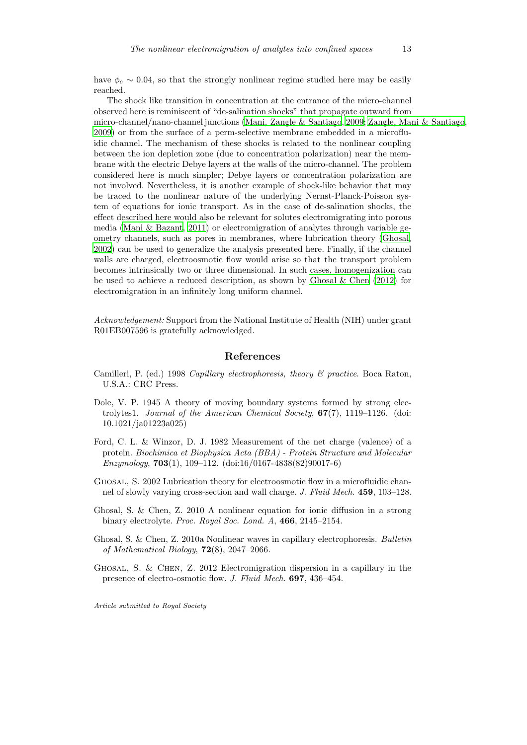have  $\phi_c \sim 0.04$ , so that the strongly nonlinear regime studied here may be easily reached.

The shock like transition in concentration at the entrance of the micro-channel observed here is reminiscent of "de-salination shocks" that propagate outward from micro-channel/nano-channel junctions [\(Mani, Zangle & Santiago,](#page-13-8) [2009;](#page-13-8) [Zangle, Mani & Santiago,](#page-13-9) [2009\)](#page-13-9) or from the surface of a perm-selective membrane embedded in a microfluidic channel. The mechanism of these shocks is related to the nonlinear coupling between the ion depletion zone (due to concentration polarization) near the membrane with the electric Debye layers at the walls of the micro-channel. The problem considered here is much simpler; Debye layers or concentration polarization are not involved. Nevertheless, it is another example of shock-like behavior that may be traced to the nonlinear nature of the underlying Nernst-Planck-Poisson system of equations for ionic transport. As in the case of de-salination shocks, the effect described here would also be relevant for solutes electromigrating into porous media (Mani  $\&$  Bazant, 2011) or electromigration of analytes through variable geometry channels, such as pores in membranes, where lubrication theory [\(Ghosal,](#page-12-5) [2002\)](#page-12-5) can be used to generalize the analysis presented here. Finally, if the channel walls are charged, electroosmotic flow would arise so that the transport problem becomes intrinsically two or three dimensional. In such cases, homogenization can be used to achieve a reduced description, as shown by Ghosal & Chen  $(2012)$  for electromigration in an infinitely long uniform channel.

*Acknowledgement:* Support from the National Institute of Health (NIH) under grant R01EB007596 is gratefully acknowledged.

#### References

- <span id="page-12-0"></span>Camilleri, P. (ed.) 1998 *Capillary electrophoresis, theory & practice*. Boca Raton, U.S.A.: CRC Press.
- <span id="page-12-3"></span>Dole, V. P. 1945 A theory of moving boundary systems formed by strong electrolytes1. *Journal of the American Chemical Society*, 67(7), 1119–1126. (doi: 10.1021/ja01223a025)
- <span id="page-12-4"></span>Ford, C. L. & Winzor, D. J. 1982 Measurement of the net charge (valence) of a protein. *Biochimica et Biophysica Acta (BBA) - Protein Structure and Molecular Enzymology*, 703(1), 109–112. (doi:16/0167-4838(82)90017-6)
- <span id="page-12-5"></span>Ghosal, S. 2002 Lubrication theory for electroosmotic flow in a microfluidic channel of slowly varying cross-section and wall charge. *J. Fluid Mech.* 459, 103–128.
- <span id="page-12-2"></span>Ghosal, S. & Chen, Z. 2010 A nonlinear equation for ionic diffusion in a strong binary electrolyte. *Proc. Royal Soc. Lond. A*, 466, 2145–2154.
- <span id="page-12-1"></span>Ghosal, S. & Chen, Z. 2010a Nonlinear waves in capillary electrophoresis. *Bulletin of Mathematical Biology*, 72(8), 2047–2066.
- <span id="page-12-6"></span>Ghosal, S. & Chen, Z. 2012 Electromigration dispersion in a capillary in the presence of electro-osmotic flow. *J. Fluid Mech.* 697, 436–454.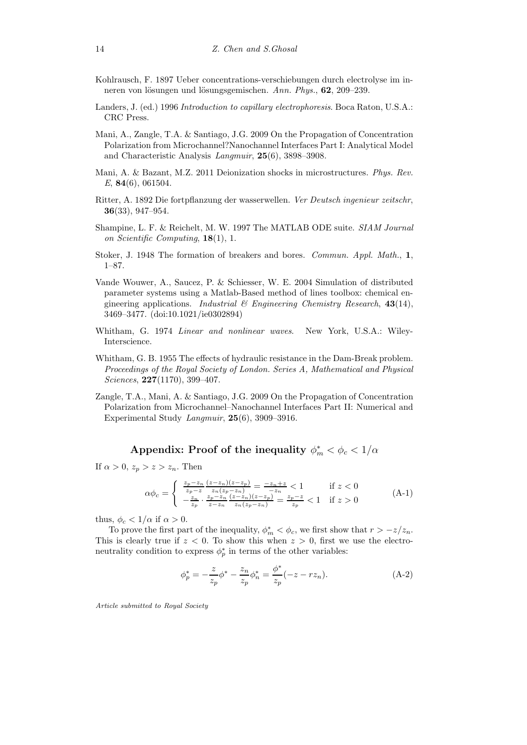- <span id="page-13-5"></span>Kohlrausch, F. 1897 Ueber concentrations-verschiebungen durch electrolyse im inneren von lösungen und lösungsgemischen. *Ann. Phys.*, 62, 209–239.
- <span id="page-13-0"></span>Landers, J. (ed.) 1996 *Introduction to capillary electrophoresis*. Boca Raton, U.S.A.: CRC Press.
- <span id="page-13-8"></span>Mani, A., Zangle, T.A. & Santiago, J.G. 2009 On the Propagation of Concentration Polarization from Microchannel?Nanochannel Interfaces Part I: Analytical Model and Characteristic Analysis *Langmuir*, 25(6), 3898–3908.
- <span id="page-13-10"></span>Mani, A. & Bazant, M.Z. 2011 Deionization shocks in microstructures. *Phys. Rev. E*, 84(6), 061504.
- <span id="page-13-4"></span>Ritter, A. 1892 Die fortpflanzung der wasserwellen. *Ver Deutsch ingenieur zeitschr*, 36(33), 947–954.
- <span id="page-13-7"></span>Shampine, L. F. & Reichelt, M. W. 1997 The MATLAB ODE suite. *SIAM Journal on Scientific Computing*, 18(1), 1.
- <span id="page-13-3"></span>Stoker, J. 1948 The formation of breakers and bores. *Commun. Appl. Math.*, 1, 1–87.
- <span id="page-13-6"></span>Vande Wouwer, A., Saucez, P. & Schiesser, W. E. 2004 Simulation of distributed parameter systems using a Matlab-Based method of lines toolbox: chemical engineering applications. *Industrial & Engineering Chemistry Research*, 43(14), 3469–3477. (doi:10.1021/ie0302894)
- <span id="page-13-1"></span>Whitham, G. 1974 *Linear and nonlinear waves*. New York, U.S.A.: Wiley-Interscience.
- <span id="page-13-2"></span>Whitham, G. B. 1955 The effects of hydraulic resistance in the Dam-Break problem. *Proceedings of the Royal Society of London. Series A, Mathematical and Physical Sciences*, 227(1170), 399–407.
- <span id="page-13-9"></span>Zangle, T.A., Mani, A. & Santiago, J.G. 2009 On the Propagation of Concentration Polarization from Microchannel–Nanochannel Interfaces Part II: Numerical and Experimental Study *Langmuir*, 25(6), 3909–3916.

# Appendix: Proof of the inequality  $\phi_m^* < \phi_c < 1/\alpha$

If  $\alpha > 0$ ,  $z_p > z > z_n$ . Then

$$
\alpha \phi_c = \begin{cases} \frac{z_p - z_n}{z_p - z} \frac{(z - z_n)(z - z_p)}{z_n(z_p - z_n)} = \frac{-z_n + z}{-z_n} & \text{if } z < 0\\ -\frac{z_n}{z_p} \cdot \frac{z_p - z_n}{z - z_n} \frac{(z - z_n)(z - z_p)}{z_n(z_p - z_n)} = \frac{z_p - z}{z_p} < 1 & \text{if } z > 0 \end{cases} \tag{A-1}
$$

thus,  $\phi_c < 1/\alpha$  if  $\alpha > 0$ .

To prove the first part of the inequality,  $\phi_m^* < \phi_c$ , we first show that  $r > -z/z_n$ . This is clearly true if  $z < 0$ . To show this when  $z > 0$ , first we use the electroneutrality condition to express  $\phi_p^*$  in terms of the other variables:

$$
\phi_p^* = -\frac{z}{z_p} \phi^* - \frac{z_n}{z_p} \phi_n^* = \frac{\phi^*}{z_p} (-z - r z_n). \tag{A-2}
$$